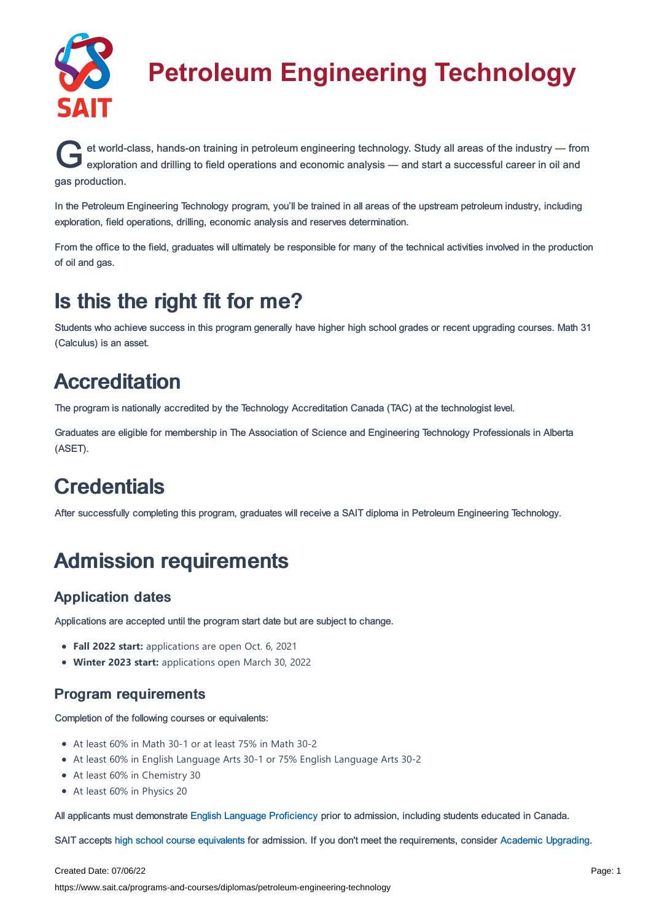

# **Petroleum Engineering Technology**

et world-class, hands-on training in petroleum engineering technology. Study all areas of the industry — from<br>exploration and drilling to field operations and economic analysis — and start a successful career in oil and et world-class, hands-on training in petroleum engineering technology. Study all areas of the industry — from gas production.

In the Petroleum Engineering Technology program, you'll be trained in all areas of the upstream petroleum industry, including exploration, field operations, drilling, economic analysis and reserves determination.

From the office to the field, graduates will ultimately be responsible for many of the technical activities involved in the production of oil and gas.

### Is this the right fit for me?

Students who achieve success in this program generally have higher high school grades or recent upgrading courses. Math 31 (Calculus) is an asset.

## Accreditation

The program is nationally accredited by the Technology Accreditation Canada (TAC) at the technologist level.

Graduates are eligible for membership in The Association of Science and Engineering Technology Professionals in Alberta (ASET).

## **Credentials**

After successfully completing this program, graduates will receive a SAIT diploma in Petroleum Engineering Technology.

## Admission requirements

### Application dates

Applications are accepted until the program start date but are subject to change.

- **Fall 2022 start:** applications are open Oct. 6, 2021
- **Winter 2023 start:** applications open March 30, 2022

### Program requirements

Completion of the following courses or equivalents:

- At least 60% in Math 30-1 or at least 75% in Math 30-2
- At least 60% in English Language Arts 30-1 or 75% English Language Arts 30-2
- At least 60% in Chemistry 30
- At least 60% in Physics 20

All applicants must demonstrate English Language [Proficiency](https://www.sait.ca/admissions/before-you-apply/english-proficiency) prior to admission, including students educated in Canada.

SAIT accepts high school course [equivalents](https://www.sait.ca/admissions/before-you-apply/high-school-course-equivalencies) for admission. If you don't meet the requirements, consider Academic [Upgrading.](https://www.sait.ca/programs-and-courses/academic-upgrading)

#### Created Date: 07/06/22

https://www.sait.ca/programs-and-courses/diplomas/petroleum-engineering-technology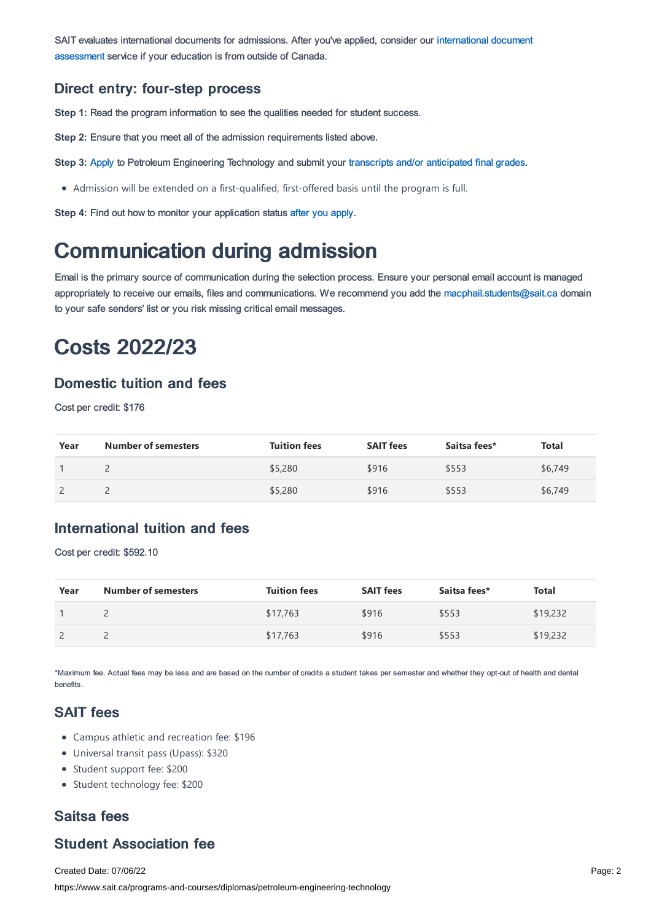SAIT evaluates [international](https://www.sait.ca/admissions/after-you-apply/international-document-assessment) documents for admissions. After you've applied, consider our international document assessment service if your education is from outside of Canada.

#### Direct entry: four-step process

**Step 1:** Read the program information to see the qualities needed for student success.

**Step 2:** Ensure that you meet all of the admission requirements listed above.

**Step 3:** [Apply](https://www.sait.ca/admissions/apply) to Petroleum Engineering Technology and submit your transcripts and/or [anticipated](https://www.sait.ca/admissions/after-you-apply/transcripts-and-supporting-documents) final grades.

Admission will be extended on a first-qualified, first-offered basis until the program is full.

**Step 4:** Find out how to monitor your application status after you [apply](https://www.sait.ca/admissions/after-you-apply/tracking-your-application).

### Communication during admission

Email is the primary source of communication during the selection process. Ensure your personal email account is managed appropriately to receive our emails, files and communications. We recommend you add the [macphail.students@sait.ca](https://sait.camailto:macphail.students@sait.ca) domain to your safe senders' list or you risk missing critical email messages.

### Costs 2022/23

#### Domestic tuition and fees

Cost per credit: \$176

| Year | <b>Number of semesters</b> | <b>Tuition fees</b> | <b>SAIT fees</b> | Saitsa fees* | <b>Total</b> |
|------|----------------------------|---------------------|------------------|--------------|--------------|
|      |                            | \$5,280             | \$916            | \$553        | \$6,749      |
|      |                            | \$5,280             | \$916            | \$553        | \$6,749      |

#### International tuition and fees

Cost per credit: \$592.10

| Year | <b>Number of semesters</b> | <b>Tuition fees</b> | <b>SAIT fees</b> | Saitsa fees* | <b>Total</b> |
|------|----------------------------|---------------------|------------------|--------------|--------------|
|      |                            | \$17,763            | \$916            | \$553        | \$19,232     |
|      |                            | \$17,763            | \$916            | \$553        | \$19,232     |

\*Maximum fee. Actual fees may be less and are based on the number of credits a student takes per semester and whether they opt-out of health and dental benefits.

### SAIT fees

- Campus athletic and recreation fee: \$196
- Universal transit pass (Upass): \$320
- Student support fee: \$200
- Student technology fee: \$200

### Saitsa fees

### Student Association fee

Created Date: 07/06/22 https://www.sait.ca/programs-and-courses/diplomas/petroleum-engineering-technology